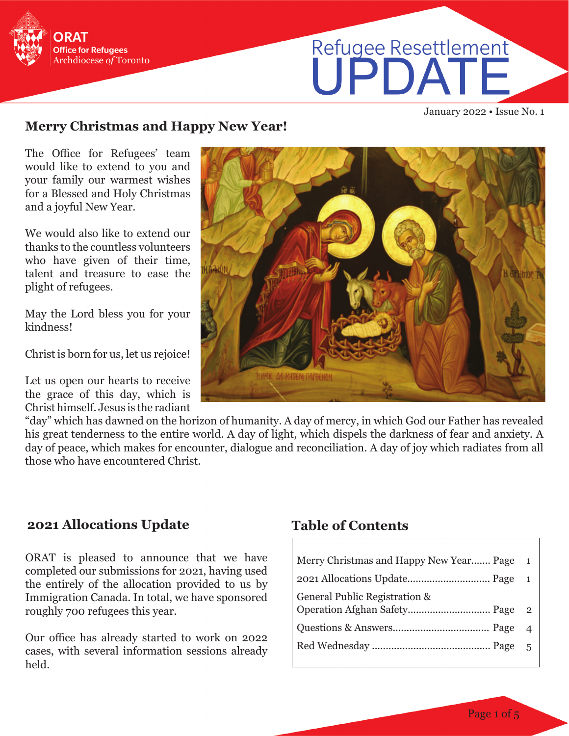

# Refugee Resettlement

January 2022 • Issue No. 1

#### **Merry Christmas and Happy New Year!**

The Office for Refugees' team would like to extend to you and your family our warmest wishes for a Blessed and Holy Christmas and a joyful New Year.

We would also like to extend our thanks to the countless volunteers who have given of their time, talent and treasure to ease the plight of refugees.

May the Lord bless you for your kindness!

Christ is born for us, let us rejoice!

Let us open our hearts to receive the grace of this day, which is Christ himself. Jesus is the radiant

"day" which has dawned on the horizon of humanity. A day of mercy, in which God our Father has revealed his great tenderness to the entire world. A day of light, which dispels the darkness of fear and anxiety. A day of peace, which makes for encounter, dialogue and reconciliation. A day of joy which radiates from all those who have encountered Christ.

#### **2021 Allocations Update**

ORAT is pleased to announce that we have completed our submissions for 2021, having used the entirely of the allocation provided to us by Immigration Canada. In total, we have sponsored roughly 700 refugees this year.

Our office has already started to work on 2022 cases, with several information sessions already held.

#### **Table of Contents**

| $\blacksquare$ |
|----------------|
|                |
|                |
| $\overline{4}$ |
| - 5            |
|                |

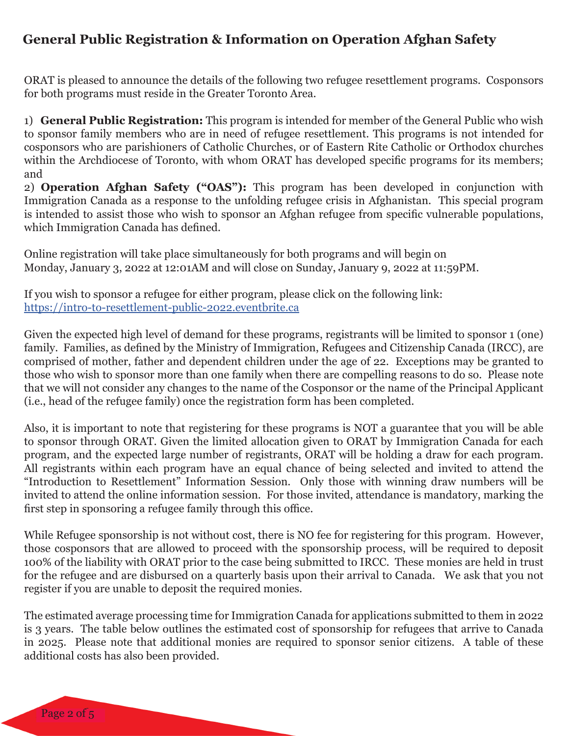## **General Public Registration & Information on Operation Afghan Safety**

ORAT is pleased to announce the details of the following two refugee resettlement programs. Cosponsors for both programs must reside in the Greater Toronto Area.

1) **General Public Registration:** This program is intended for member of the General Public who wish to sponsor family members who are in need of refugee resettlement. This programs is not intended for cosponsors who are parishioners of Catholic Churches, or of Eastern Rite Catholic or Orthodox churches within the Archdiocese of Toronto, with whom ORAT has developed specific programs for its members; and

2) **Operation Afghan Safety ("OAS"):** This program has been developed in conjunction with Immigration Canada as a response to the unfolding refugee crisis in Afghanistan. This special program is intended to assist those who wish to sponsor an Afghan refugee from specific vulnerable populations, which Immigration Canada has defined.

Online registration will take place simultaneously for both programs and will begin on Monday, January 3, 2022 at 12:01AM and will close on Sunday, January 9, 2022 at 11:59PM.

If you wish to sponsor a refugee for either program, please click on the following link: <https://intro-to-resettlement-public-2022.eventbrite.ca>

Given the expected high level of demand for these programs, registrants will be limited to sponsor 1 (one) family. Families, as defined by the Ministry of Immigration, Refugees and Citizenship Canada (IRCC), are comprised of mother, father and dependent children under the age of 22. Exceptions may be granted to those who wish to sponsor more than one family when there are compelling reasons to do so. Please note that we will not consider any changes to the name of the Cosponsor or the name of the Principal Applicant (i.e., head of the refugee family) once the registration form has been completed.

Also, it is important to note that registering for these programs is NOT a guarantee that you will be able to sponsor through ORAT. Given the limited allocation given to ORAT by Immigration Canada for each program, and the expected large number of registrants, ORAT will be holding a draw for each program. All registrants within each program have an equal chance of being selected and invited to attend the "Introduction to Resettlement" Information Session. Only those with winning draw numbers will be invited to attend the online information session. For those invited, attendance is mandatory, marking the first step in sponsoring a refugee family through this office.

While Refugee sponsorship is not without cost, there is NO fee for registering for this program. However, those cosponsors that are allowed to proceed with the sponsorship process, will be required to deposit 100% of the liability with ORAT prior to the case being submitted to IRCC. These monies are held in trust for the refugee and are disbursed on a quarterly basis upon their arrival to Canada. We ask that you not register if you are unable to deposit the required monies.

The estimated average processing time for Immigration Canada for applications submitted to them in 2022 is 3 years. The table below outlines the estimated cost of sponsorship for refugees that arrive to Canada in 2025. Please note that additional monies are required to sponsor senior citizens. A table of these additional costs has also been provided.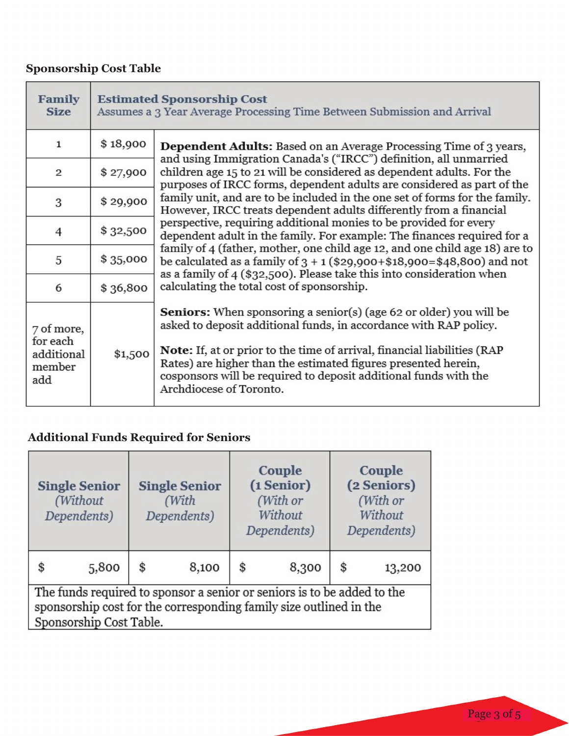# **Sponsorship Cost Table**

| Family<br><b>Size</b>                                 | <b>Estimated Sponsorship Cost</b><br>Assumes a 3 Year Average Processing Time Between Submission and Arrival |                                                                                                                                                                                                                                                                                                                                                                           |  |  |  |  |  |  |
|-------------------------------------------------------|--------------------------------------------------------------------------------------------------------------|---------------------------------------------------------------------------------------------------------------------------------------------------------------------------------------------------------------------------------------------------------------------------------------------------------------------------------------------------------------------------|--|--|--|--|--|--|
| $\mathbf{1}$                                          | \$18,900                                                                                                     | <b>Dependent Adults:</b> Based on an Average Processing Time of 3 years,                                                                                                                                                                                                                                                                                                  |  |  |  |  |  |  |
| $\overline{2}$                                        | \$27,900                                                                                                     | and using Immigration Canada's ("IRCC") definition, all unmarried<br>children age 15 to 21 will be considered as dependent adults. For the<br>purposes of IRCC forms, dependent adults are considered as part of the<br>family unit, and are to be included in the one set of forms for the family.<br>However, IRCC treats dependent adults differently from a financial |  |  |  |  |  |  |
| 3                                                     | \$29,900                                                                                                     |                                                                                                                                                                                                                                                                                                                                                                           |  |  |  |  |  |  |
| $\overline{4}$                                        | \$32,500                                                                                                     | perspective, requiring additional monies to be provided for every<br>dependent adult in the family. For example: The finances required for a                                                                                                                                                                                                                              |  |  |  |  |  |  |
| 5                                                     | \$35,000                                                                                                     | family of 4 (father, mother, one child age 12, and one child age 18) are to<br>be calculated as a family of $3 + 1$ (\$29,900+\$18,900=\$48,800) and not                                                                                                                                                                                                                  |  |  |  |  |  |  |
| 6                                                     | \$36,800                                                                                                     | as a family of 4 (\$32,500). Please take this into consideration when<br>calculating the total cost of sponsorship.                                                                                                                                                                                                                                                       |  |  |  |  |  |  |
| 7 of more,<br>for each<br>additional<br>member<br>add |                                                                                                              | <b>Seniors:</b> When sponsoring a senior(s) (age 62 or older) you will be<br>asked to deposit additional funds, in accordance with RAP policy.                                                                                                                                                                                                                            |  |  |  |  |  |  |
|                                                       | \$1,500                                                                                                      | Note: If, at or prior to the time of arrival, financial liabilities (RAP<br>Rates) are higher than the estimated figures presented herein,<br>cosponsors will be required to deposit additional funds with the<br>Archdiocese of Toronto.                                                                                                                                 |  |  |  |  |  |  |

# **Additional Funds Required for Seniors**

| <b>Single Senior</b><br>(Without<br>Dependents)                                                                                                                          |       | <b>Single Senior</b><br>(With<br>Dependents) |       | Couple<br>(1 Senior)<br>(With or<br>Without<br>Dependents) |       | Couple<br>(2 Seniors)<br>(With or<br>Without<br>Dependents) |        |  |
|--------------------------------------------------------------------------------------------------------------------------------------------------------------------------|-------|----------------------------------------------|-------|------------------------------------------------------------|-------|-------------------------------------------------------------|--------|--|
| \$                                                                                                                                                                       | 5,800 | \$                                           | 8,100 | \$                                                         | 8,300 | \$                                                          | 13,200 |  |
| The funds required to sponsor a senior or seniors is to be added to the<br>sponsorship cost for the corresponding family size outlined in the<br>Sponsorship Cost Table. |       |                                              |       |                                                            |       |                                                             |        |  |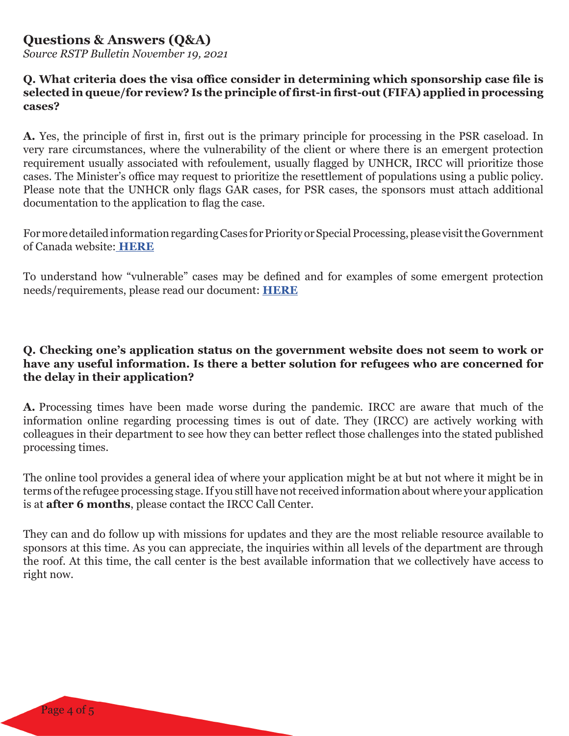### **Questions & Answers (Q&A)**

*Source RSTP Bulletin November 19, 2021*

#### **Q. What criteria does the visa office consider in determining which sponsorship case file is selected in queue/for review? Is the principle of first-in first-out (FIFA) applied in processing cases?**

**A.** Yes, the principle of first in, first out is the primary principle for processing in the PSR caseload. In very rare circumstances, where the vulnerability of the client or where there is an emergent protection requirement usually associated with refoulement, usually flagged by UNHCR, IRCC will prioritize those cases. The Minister's office may request to prioritize the resettlement of populations using a public policy. Please note that the UNHCR only flags GAR cases, for PSR cases, the sponsors must attach additional documentation to the application to flag the case.

For more detailed information regarding Cases for Priority or Special Processing, please visit the Government of Canada website: **[HERE](https://www.canada.ca/en/immigration-refugees-citizenship/corporate/publications-manuals/operational-bulletins-manuals/refugee-protection/resettlement/priority-special.html)**

To understand how "vulnerable" cases may be defined and for examples of some emergent protection needs/requirements, please read our document: **[HERE](https://www.rstp.ca/wp-content/uploads/2021/11/Understanding-Vulnerability-Document.pdf)**

#### **Q. Checking one's application status on the government website does not seem to work or have any useful information. Is there a better solution for refugees who are concerned for the delay in their application?**

**A..**Processing times have been made worse during the pandemic. IRCC are aware that much of the information online regarding processing times is out of date. They (IRCC) are actively working with colleagues in their department to see how they can better reflect those challenges into the stated published processing times.

The online tool provides a general idea of where your application might be at but not where it might be in terms of the refugee processing stage. If you still have not received information about where your application is at **after 6 months**, please contact the IRCC Call Center.

They can and do follow up with missions for updates and they are the most reliable resource available to sponsors at this time. As you can appreciate, the inquiries within all levels of the department are through the roof. At this time, the call center is the best available information that we collectively have access to right now.